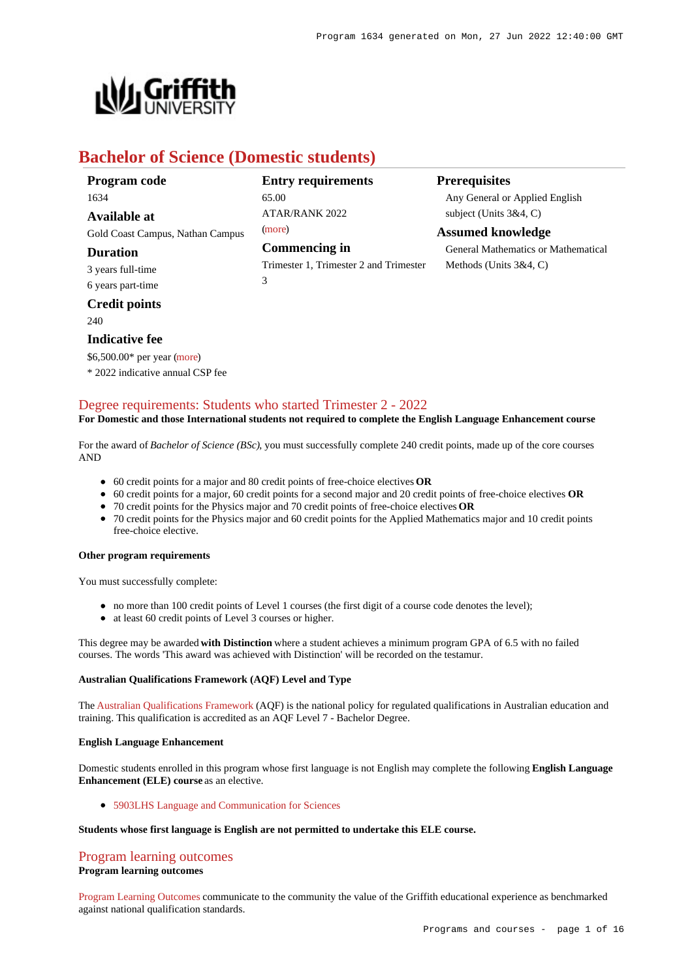

# **Bachelor of Science (Domestic students)**

| Program code                     | <b>Entry requirements</b>              | <b>Prerequisites</b>                |
|----------------------------------|----------------------------------------|-------------------------------------|
| 1634                             | 65.00                                  | Any General or Applied English      |
| <b>Available at</b>              | <b>ATAR/RANK 2022</b>                  | subject (Units $3&4, C$ )           |
| Gold Coast Campus, Nathan Campus | (more)                                 | <b>Assumed knowledge</b>            |
| <b>Duration</b>                  | Commencing in                          | General Mathematics or Mathematical |
| 3 years full-time                | Trimester 1, Trimester 2 and Trimester | Methods (Units $3&4, C$ )           |
| 6 years part-time                | 3                                      |                                     |
| <b>Credit points</b>             |                                        |                                     |

 $240$ 

#### **Indicative fee**

\$6,500.00\* per year [\(more](https://www148.griffith.edu.au/programs-courses/Program/1634/Overview/Domestic#fees))

\* 2022 indicative annual CSP fee

## [Degree requirements: Students who started Trimester 2 - 2022](https://www148.griffith.edu.au/programs-courses/Program/1634/Courses/Domestic#degree-requirements)

#### **For Domestic and those International students not required to complete the English Language Enhancement course**

For the award of *Bachelor of Science (BSc)*, you must successfully complete 240 credit points, made up of the core courses AND

- 60 credit points for a major and 80 credit points of free-choice electives **OR**
- 60 credit points for a major, 60 credit points for a second major and 20 credit points of free-choice electives **OR**
- 70 credit points for the Physics major and 70 credit points of free-choice electives **OR**
- 70 credit points for the Physics major and 60 credit points for the Applied Mathematics major and 10 credit points free-choice elective.

#### **Other program requirements**

You must successfully complete:

- no more than 100 credit points of Level 1 courses (the first digit of a course code denotes the level);
- at least 60 credit points of Level 3 courses or higher.

This degree may be awarded **with Distinction** where a student achieves a minimum program GPA of 6.5 with no failed courses. The words 'This award was achieved with Distinction' will be recorded on the testamur.

#### **Australian Qualifications Framework (AQF) Level and Type**

The [Australian Qualifications Framework](http://www.aqf.edu.au/) (AQF) is the national policy for regulated qualifications in Australian education and training. This qualification is accredited as an AQF Level 7 - Bachelor Degree.

#### **English Language Enhancement**

Domestic students enrolled in this program whose first language is not English may complete the following **English Language Enhancement (ELE) course** as an elective.

[5903LHS Language and Communication for Sciences](https://www148.griffith.edu.au/Course/5903LHS)

#### **Students whose first language is English are not permitted to undertake this ELE course.**

#### [Program learning outcomes](https://www148.griffith.edu.au/programs-courses/Program/1634/Courses/Domestic#programLearningOutcomes) **Program learning outcomes**

[Program Learning Outcomes](https://www.griffith.edu.au/__data/assets/pdf_file/0017/134522/PLO-general-advice.pdf) communicate to the community the value of the Griffith educational experience as benchmarked against national qualification standards.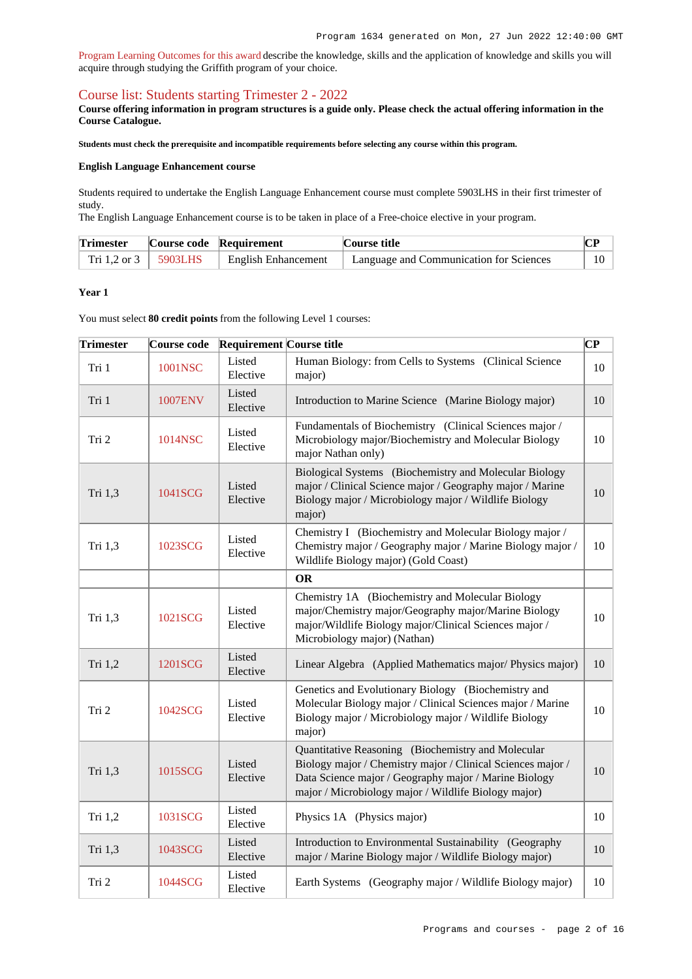[Program Learning Outcomes for this award](https://www.griffith.edu.au/__data/assets/pdf_file/0019/301249/BScience-PLO-L7.pdf) describe the knowledge, skills and the application of knowledge and skills you will acquire through studying the Griffith program of your choice.

### [Course list: Students starting Trimester 2 - 2022](https://www148.griffith.edu.au/programs-courses/Program/1634/Courses/Domestic#course-list-content)

**Course offering information in program structures is a guide only. Please check the actual offering information in the Course Catalogue.**

**Students must check the prerequisite and incompatible requirements before selecting any course within this program.**

#### **English Language Enhancement course**

Students required to undertake the English Language Enhancement course must complete 5903LHS in their first trimester of study.

The English Language Enhancement course is to be taken in place of a Free-choice elective in your program.

| <b>Trimester</b>         | Course code Requirement    | Course title                                         | $\mathbf{D}$ |  |
|--------------------------|----------------------------|------------------------------------------------------|--------------|--|
| Tri 1.2 or $3 + 5903LHS$ | <b>English Enhancement</b> | <sup>1</sup> Language and Communication for Sciences | 10           |  |

#### **Year 1**

You must select **80 credit points** from the following Level 1 courses:

| <b>Trimester</b> |                | Course code Requirement Course title |                                                                                                                                                                                                                                    | CP |
|------------------|----------------|--------------------------------------|------------------------------------------------------------------------------------------------------------------------------------------------------------------------------------------------------------------------------------|----|
| Tri 1            | 1001NSC        | Listed<br>Elective                   | Human Biology: from Cells to Systems (Clinical Science<br>major)                                                                                                                                                                   | 10 |
| Tri 1            | <b>1007ENV</b> | Listed<br>Elective                   | Introduction to Marine Science (Marine Biology major)                                                                                                                                                                              | 10 |
| Tri 2            | 1014NSC        | Listed<br>Elective                   | Fundamentals of Biochemistry (Clinical Sciences major /<br>Microbiology major/Biochemistry and Molecular Biology<br>major Nathan only)                                                                                             | 10 |
| Tri 1,3          | 1041SCG        | Listed<br>Elective                   | Biological Systems (Biochemistry and Molecular Biology<br>major / Clinical Science major / Geography major / Marine<br>Biology major / Microbiology major / Wildlife Biology<br>major)                                             | 10 |
| Tri 1,3          | 1023SCG        | Listed<br>Elective                   | Chemistry I (Biochemistry and Molecular Biology major /<br>Chemistry major / Geography major / Marine Biology major /<br>Wildlife Biology major) (Gold Coast)                                                                      | 10 |
|                  |                |                                      | <b>OR</b>                                                                                                                                                                                                                          |    |
| Tri 1,3          | 1021SCG        | Listed<br>Elective                   | Chemistry 1A (Biochemistry and Molecular Biology<br>major/Chemistry major/Geography major/Marine Biology<br>major/Wildlife Biology major/Clinical Sciences major /<br>Microbiology major) (Nathan)                                 | 10 |
| Tri 1,2          | 1201SCG        | Listed<br>Elective                   | Linear Algebra (Applied Mathematics major/Physics major)                                                                                                                                                                           | 10 |
| Tri 2            | 1042SCG        | Listed<br>Elective                   | Genetics and Evolutionary Biology (Biochemistry and<br>Molecular Biology major / Clinical Sciences major / Marine<br>Biology major / Microbiology major / Wildlife Biology<br>major)                                               | 10 |
| Tri 1,3          | 1015SCG        | Listed<br>Elective                   | Quantitative Reasoning (Biochemistry and Molecular<br>Biology major / Chemistry major / Clinical Sciences major /<br>Data Science major / Geography major / Marine Biology<br>major / Microbiology major / Wildlife Biology major) | 10 |
| Tri 1,2          | 1031SCG        | Listed<br>Elective                   | Physics 1A (Physics major)                                                                                                                                                                                                         | 10 |
| Tri 1,3          | 1043SCG        | Listed<br>Elective                   | Introduction to Environmental Sustainability (Geography<br>major / Marine Biology major / Wildlife Biology major)                                                                                                                  | 10 |
| Tri 2            | 1044SCG        | Listed<br>Elective                   | Earth Systems (Geography major / Wildlife Biology major)                                                                                                                                                                           | 10 |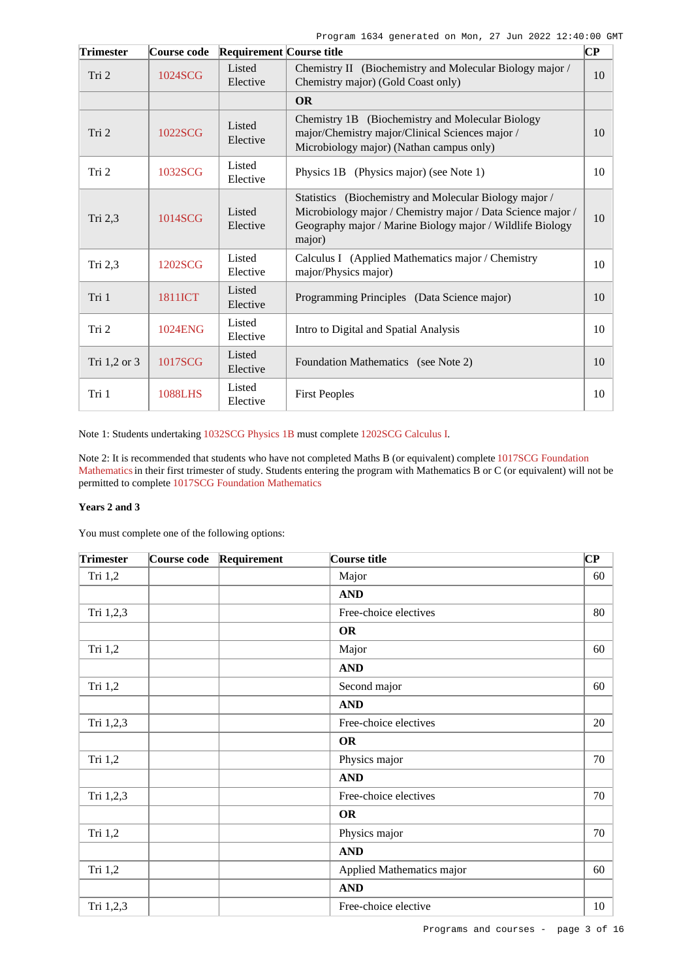| <b>Trimester</b> | Course code    | <b>Requirement Course title</b> |                                                                                                                                                                                              | $\bf CP$ |
|------------------|----------------|---------------------------------|----------------------------------------------------------------------------------------------------------------------------------------------------------------------------------------------|----------|
| Tri 2            | 1024SCG        | Listed<br>Elective              | Chemistry II (Biochemistry and Molecular Biology major /<br>Chemistry major) (Gold Coast only)                                                                                               | 10       |
|                  |                |                                 | <b>OR</b>                                                                                                                                                                                    |          |
| Tri 2            | 1022SCG        | Listed<br>Elective              | Chemistry 1B (Biochemistry and Molecular Biology<br>major/Chemistry major/Clinical Sciences major /<br>Microbiology major) (Nathan campus only)                                              | 10       |
| Tri 2            | 1032SCG        | Listed<br>Elective              | Physics 1B (Physics major) (see Note 1)                                                                                                                                                      | 10       |
| Tri 2,3          | 1014SCG        | Listed<br>Elective              | Statistics (Biochemistry and Molecular Biology major /<br>Microbiology major / Chemistry major / Data Science major /<br>Geography major / Marine Biology major / Wildlife Biology<br>major) | 10       |
| Tri 2,3          | 1202SCG        | Listed<br>Elective              | Calculus I (Applied Mathematics major / Chemistry<br>major/Physics major)                                                                                                                    | 10       |
| Tri 1            | 1811ICT        | Listed<br>Elective              | Programming Principles (Data Science major)                                                                                                                                                  | 10       |
| Tri 2            | 1024ENG        | Listed<br>Elective              | Intro to Digital and Spatial Analysis                                                                                                                                                        | 10       |
| Tri 1,2 or 3     | 1017SCG        | Listed<br>Elective              | Foundation Mathematics (see Note 2)                                                                                                                                                          | 10       |
| Tri 1            | <b>1088LHS</b> | Listed<br>Elective              | <b>First Peoples</b>                                                                                                                                                                         | 10       |

Note 1: Students undertaking [1032SCG Physics 1B](https://www148.griffith.edu.au/Course/1032SCG) must complete [1202SCG Calculus I](https://www148.griffith.edu.au/Course/1202SCG).

Note 2: It is recommended that students who have not completed Maths B (or equivalent) complete [1017SCG Foundation](https://www148.griffith.edu.au/Course/1017SCG) [Mathematics](https://www148.griffith.edu.au/Course/1017SCG) in their first trimester of study. Students entering the program with Mathematics B or C (or equivalent) will not be permitted to complete [1017SCG Foundation Mathematics](https://www148.griffith.edu.au/Course/1017SCG)

#### **Years 2 and 3**

You must complete one of the following options:

| <b>Trimester</b> | Course code | Requirement | Course title              | $\overline{\mathbf{C}\mathbf{P}}$ |
|------------------|-------------|-------------|---------------------------|-----------------------------------|
| Tri 1,2          |             |             | Major                     | 60                                |
|                  |             |             | <b>AND</b>                |                                   |
| Tri 1,2,3        |             |             | Free-choice electives     | 80                                |
|                  |             |             | <b>OR</b>                 |                                   |
| Tri 1,2          |             |             | Major                     | 60                                |
|                  |             |             | <b>AND</b>                |                                   |
| Tri 1,2          |             |             | Second major              | 60                                |
|                  |             |             | <b>AND</b>                |                                   |
| Tri 1,2,3        |             |             | Free-choice electives     | 20                                |
|                  |             |             | <b>OR</b>                 |                                   |
| Tri 1,2          |             |             | Physics major             | 70                                |
|                  |             |             | <b>AND</b>                |                                   |
| Tri 1,2,3        |             |             | Free-choice electives     | 70                                |
|                  |             |             | <b>OR</b>                 |                                   |
| Tri 1,2          |             |             | Physics major             | 70                                |
|                  |             |             | <b>AND</b>                |                                   |
| Tri 1,2          |             |             | Applied Mathematics major | 60                                |
|                  |             |             | <b>AND</b>                |                                   |
| Tri 1,2,3        |             |             | Free-choice elective      | 10                                |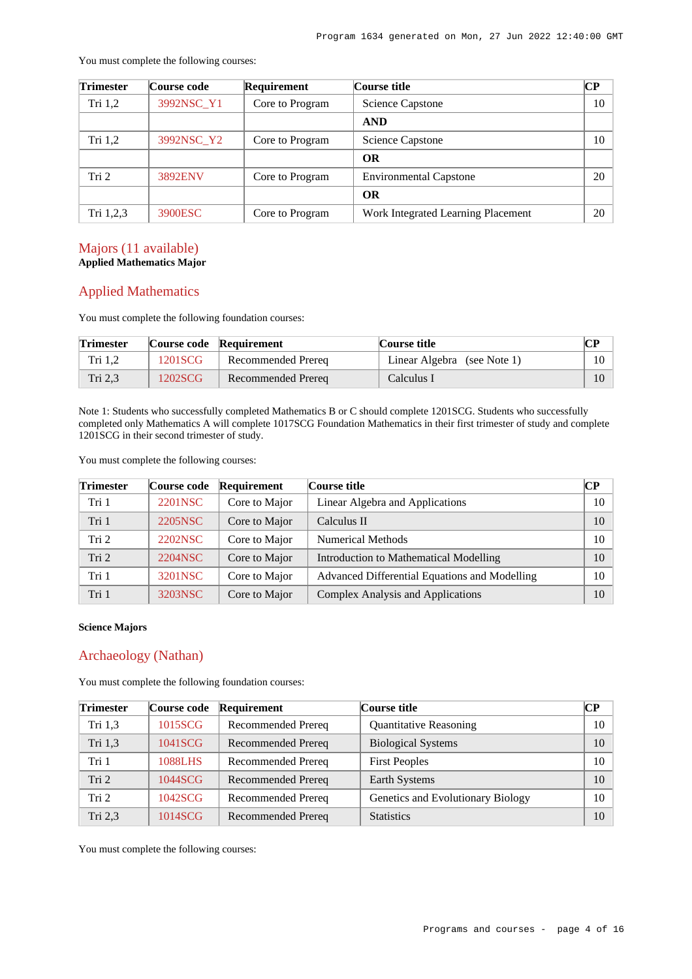| Trimester | Course code | Requirement     | Course title                       | CР |
|-----------|-------------|-----------------|------------------------------------|----|
| Tri $1,2$ | 3992NSC Y1  | Core to Program | <b>Science Capstone</b>            | 10 |
|           |             |                 | <b>AND</b>                         |    |
| Tri $1,2$ | 3992NSC_Y2  | Core to Program | <b>Science Capstone</b>            | 10 |
|           |             |                 | <b>OR</b>                          |    |
| Tri 2     | 3892ENV     | Core to Program | <b>Environmental Capstone</b>      | 20 |
|           |             |                 | <b>OR</b>                          |    |
| Tri 1,2,3 | 3900ESC     | Core to Program | Work Integrated Learning Placement | 20 |

You must complete the following courses:

### Majors (11 available) **Applied Mathematics Major**

## Applied Mathematics

You must complete the following foundation courses:

| <b>Trimester</b> |         | Course code Requirement | Course title                |        |
|------------------|---------|-------------------------|-----------------------------|--------|
| Tri 1,2          | 1201SCG | Recommended Prereq      | Linear Algebra (see Note 1) | $10-1$ |
| Tri 2.3          | 1202SCG | Recommended Prereg      | Calculus I                  |        |

Note 1: Students who successfully completed Mathematics B or C should complete 1201SCG. Students who successfully completed only Mathematics A will complete 1017SCG Foundation Mathematics in their first trimester of study and complete 1201SCG in their second trimester of study.

You must complete the following courses:

| <b>Trimester</b> | Course code | Requirement   | Course title                                  | CР |
|------------------|-------------|---------------|-----------------------------------------------|----|
| Tri 1            | 2201NSC     | Core to Major | Linear Algebra and Applications               | 10 |
| Tri 1            | 2205NSC     | Core to Major | Calculus II                                   | 10 |
| Tri 2            | 2202NSC     | Core to Major | <b>Numerical Methods</b>                      | 10 |
| Tri <sub>2</sub> | 2204NSC     | Core to Major | Introduction to Mathematical Modelling        | 10 |
| Tri 1            | 3201NSC     | Core to Major | Advanced Differential Equations and Modelling | 10 |
| Tri 1            | 3203NSC     | Core to Major | Complex Analysis and Applications             | 10 |

#### **Science Majors**

## Archaeology (Nathan)

You must complete the following foundation courses:

| <b>Trimester</b> | Course code | Requirement        | Course title                      | CР |
|------------------|-------------|--------------------|-----------------------------------|----|
| Tri 1,3          | 1015SCG     | Recommended Prereq | <b>Quantitative Reasoning</b>     | 10 |
| Tri 1.3          | 1041SCG     | Recommended Prereq | <b>Biological Systems</b>         | 10 |
| Tri 1            | 1088LHS     | Recommended Prereq | <b>First Peoples</b>              | 10 |
| Tri <sub>2</sub> | 1044SCG     | Recommended Prereq | Earth Systems                     | 10 |
| Tri 2            | 1042SCG     | Recommended Prereq | Genetics and Evolutionary Biology | 10 |
| Tri $2,3$        | 1014SCG     | Recommended Prereq | <b>Statistics</b>                 | 10 |

You must complete the following courses: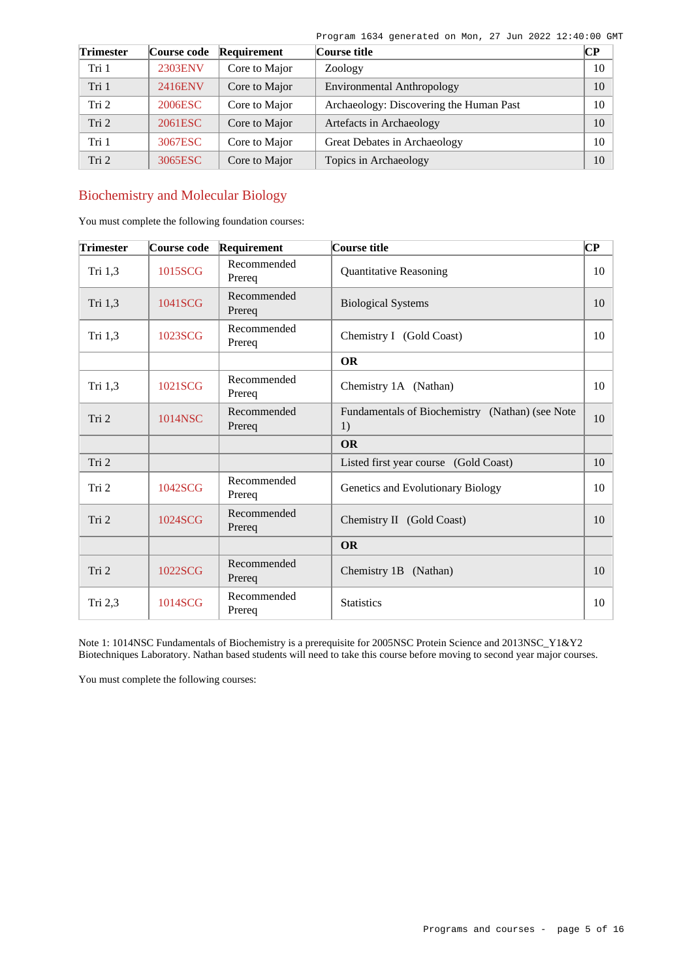| <b>Trimester</b> | Course code | Requirement   | Course title                            | $\bf CP$ |
|------------------|-------------|---------------|-----------------------------------------|----------|
| Tri 1            | 2303ENV     | Core to Major | Zoology                                 | 10       |
| Tri 1            | 2416ENV     | Core to Major | <b>Environmental Anthropology</b>       | 10       |
| Tri <sub>2</sub> | 2006ESC     | Core to Major | Archaeology: Discovering the Human Past | 10       |
| Tri 2            | 2061ESC     | Core to Major | Artefacts in Archaeology                | 10       |
| Tri 1            | 3067ESC     | Core to Major | Great Debates in Archaeology            | 10       |
| Tri 2            | 3065ESC     | Core to Major | Topics in Archaeology                   | 10       |

## Biochemistry and Molecular Biology

You must complete the following foundation courses:

| <b>Trimester</b> | Course code | Requirement           | Course title                                          | $\overline{\mathbf{C}\mathbf{P}}$ |
|------------------|-------------|-----------------------|-------------------------------------------------------|-----------------------------------|
| Tri 1,3          | 1015SCG     | Recommended<br>Prereq | <b>Quantitative Reasoning</b>                         | 10                                |
| Tri 1,3          | 1041SCG     | Recommended<br>Prereq | <b>Biological Systems</b>                             | 10                                |
| Tri 1,3          | 1023SCG     | Recommended<br>Prereq | Chemistry I (Gold Coast)                              | 10                                |
|                  |             |                       | <b>OR</b>                                             |                                   |
| Tri 1,3          | 1021SCG     | Recommended<br>Prereq | Chemistry 1A (Nathan)                                 | 10                                |
| Tri 2            | 1014NSC     | Recommended<br>Prereq | Fundamentals of Biochemistry (Nathan) (see Note<br>1) | 10                                |
|                  |             |                       | <b>OR</b>                                             |                                   |
| Tri 2            |             |                       | Listed first year course (Gold Coast)                 | 10                                |
| Tri 2            | 1042SCG     | Recommended<br>Prereq | Genetics and Evolutionary Biology                     | 10                                |
| Tri 2            | 1024SCG     | Recommended<br>Prereq | Chemistry II (Gold Coast)                             | 10                                |
|                  |             |                       | <b>OR</b>                                             |                                   |
| Tri 2            | 1022SCG     | Recommended<br>Prereq | Chemistry 1B<br>(Nathan)                              | 10                                |
| Tri $2,3$        | 1014SCG     | Recommended<br>Prereq | <b>Statistics</b>                                     | 10                                |

Note 1: 1014NSC Fundamentals of Biochemistry is a prerequisite for 2005NSC Protein Science and 2013NSC\_Y1&Y2 Biotechniques Laboratory. Nathan based students will need to take this course before moving to second year major courses.

You must complete the following courses: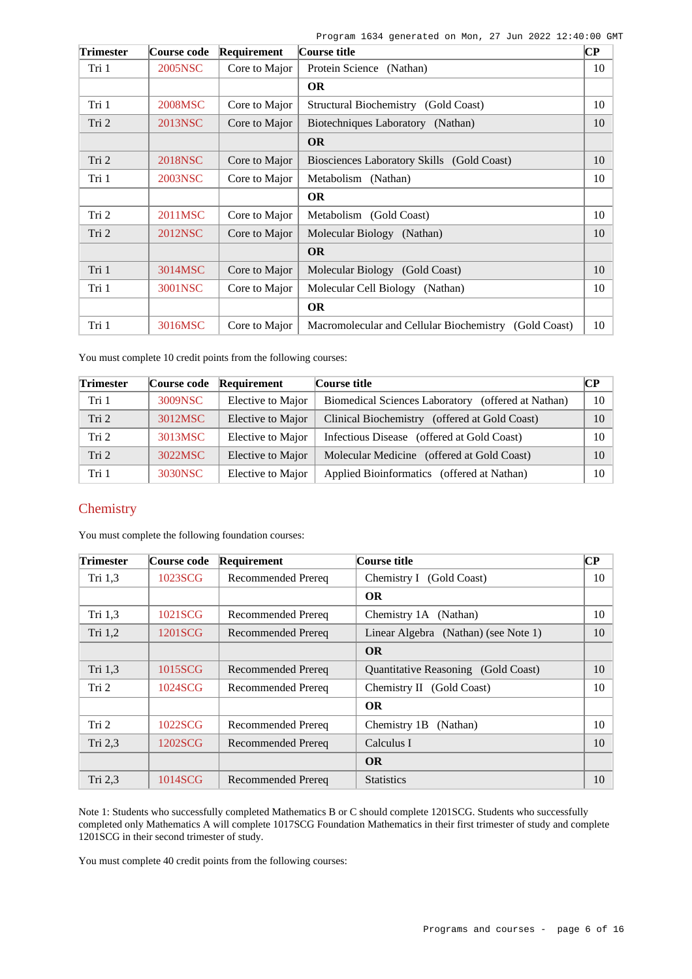| Trimester | Course code    | Requirement   | Course title                                          | $\overline{\mathbf{C}\mathbf{P}}$ |
|-----------|----------------|---------------|-------------------------------------------------------|-----------------------------------|
| Tri 1     | 2005NSC        | Core to Major | Protein Science (Nathan)                              | 10                                |
|           |                |               | <b>OR</b>                                             |                                   |
| Tri 1     | 2008MSC        | Core to Major | Structural Biochemistry (Gold Coast)                  | 10                                |
| Tri 2     | 2013NSC        | Core to Major | Biotechniques Laboratory (Nathan)                     | 10                                |
|           |                |               | <b>OR</b>                                             |                                   |
| Tri 2     | <b>2018NSC</b> | Core to Major | Biosciences Laboratory Skills (Gold Coast)            | 10                                |
| Tri 1     | 2003NSC        | Core to Major | Metabolism (Nathan)                                   | 10                                |
|           |                |               | <b>OR</b>                                             |                                   |
| Tri 2     | 2011MSC        | Core to Major | Metabolism (Gold Coast)                               | 10                                |
| Tri 2     | 2012NSC        | Core to Major | Molecular Biology (Nathan)                            | 10                                |
|           |                |               | <b>OR</b>                                             |                                   |
| Tri 1     | 3014MSC        | Core to Major | Molecular Biology (Gold Coast)                        | 10                                |
| Tri 1     | 3001NSC        | Core to Major | Molecular Cell Biology (Nathan)                       | 10                                |
|           |                |               | <b>OR</b>                                             |                                   |
| Tri 1     | 3016MSC        | Core to Major | Macromolecular and Cellular Biochemistry (Gold Coast) | 10                                |

You must complete 10 credit points from the following courses:

| <b>Trimester</b> | <b>Course code</b> | Requirement       | Course title                                       | $\bf CP$ |
|------------------|--------------------|-------------------|----------------------------------------------------|----------|
| Tri 1            | 3009NSC            | Elective to Major | Biomedical Sciences Laboratory (offered at Nathan) | 10       |
| Tri 2            | 3012MSC            | Elective to Major | Clinical Biochemistry (offered at Gold Coast)      | 10       |
| Tri <sub>2</sub> | 3013MSC            | Elective to Major | Infectious Disease (offered at Gold Coast)         | 10       |
| Tri 2            | 3022MSC            | Elective to Major | Molecular Medicine (offered at Gold Coast)         | 10       |
| Tri 1            | 3030NSC            | Elective to Major | Applied Bioinformatics (offered at Nathan)         | 10       |

## **Chemistry**

You must complete the following foundation courses:

| <b>Trimester</b> | Course code | Requirement               | Course title                               | $\bf CP$ |
|------------------|-------------|---------------------------|--------------------------------------------|----------|
| Tri $1,3$        | 1023SCG     | Recommended Prereq        | Chemistry I (Gold Coast)                   | 10       |
|                  |             |                           | <b>OR</b>                                  |          |
| Tri 1,3          | 1021SCG     | Recommended Prereq        | Chemistry 1A (Nathan)                      | 10       |
| Tri $1,2$        | 1201SCG     | Recommended Prereq        | Linear Algebra (Nathan) (see Note 1)       | 10       |
|                  |             |                           | <b>OR</b>                                  |          |
| Tri 1,3          | 1015SCG     | Recommended Prereq        | <b>Quantitative Reasoning</b> (Gold Coast) | 10       |
| Tri 2            | 1024SCG     | Recommended Prereq        | Chemistry II (Gold Coast)                  | 10       |
|                  |             |                           | <b>OR</b>                                  |          |
| Tri <sub>2</sub> | 1022SCG     | Recommended Prereq        | Chemistry 1B<br>(Nathan)                   | 10       |
| Tri 2,3          | 1202SCG     | <b>Recommended Prereq</b> | Calculus I                                 | 10       |
|                  |             |                           | <b>OR</b>                                  |          |
| Tri 2,3          | 1014SCG     | Recommended Prereq        | <b>Statistics</b>                          | 10       |

Note 1: Students who successfully completed Mathematics B or C should complete 1201SCG. Students who successfully completed only Mathematics A will complete 1017SCG Foundation Mathematics in their first trimester of study and complete 1201SCG in their second trimester of study.

You must complete 40 credit points from the following courses: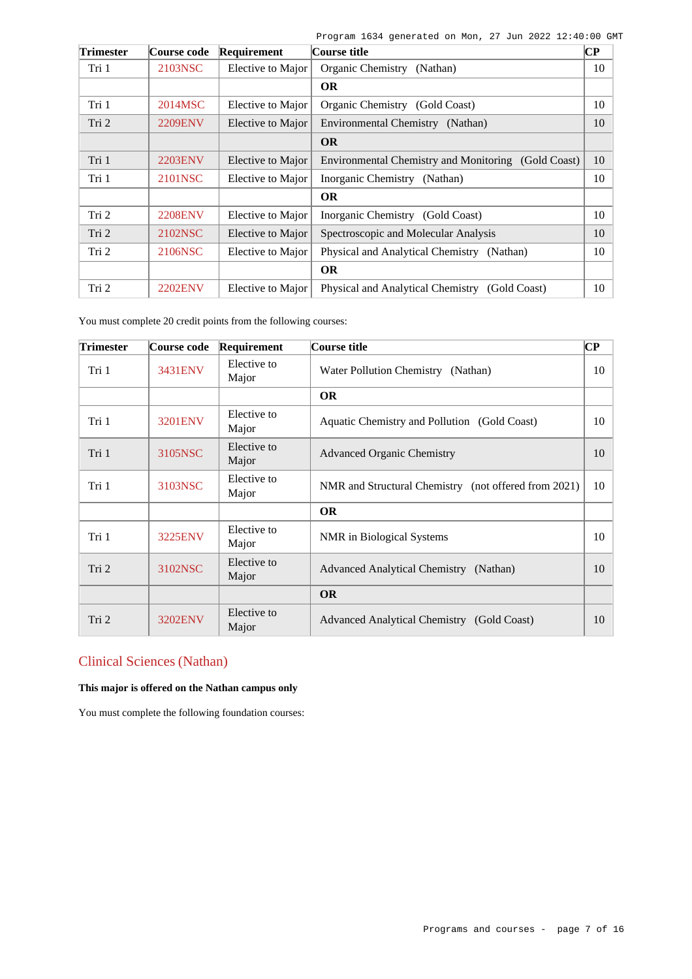| <b>Trimester</b> | Course code    | Requirement       | Course title                                        | $\bf CP$ |
|------------------|----------------|-------------------|-----------------------------------------------------|----------|
| Tri 1            | 2103NSC        | Elective to Major | Organic Chemistry<br>(Nathan)                       | 10       |
|                  |                |                   | <b>OR</b>                                           |          |
| Tri 1            | 2014MSC        | Elective to Major | Organic Chemistry (Gold Coast)                      | 10       |
| Tri 2            | <b>2209ENV</b> | Elective to Major | Environmental Chemistry (Nathan)                    | 10       |
|                  |                |                   | <b>OR</b>                                           |          |
| Tri 1            | 2203ENV        | Elective to Major | Environmental Chemistry and Monitoring (Gold Coast) | 10       |
| Tri 1            | 2101NSC        | Elective to Major | Inorganic Chemistry (Nathan)                        | 10       |
|                  |                |                   | <b>OR</b>                                           |          |
| Tri 2            | <b>2208ENV</b> | Elective to Major | Inorganic Chemistry (Gold Coast)                    | 10       |
| Tri 2            | 2102NSC        | Elective to Major | Spectroscopic and Molecular Analysis                | 10       |
| Tri 2            | 2106NSC        | Elective to Major | Physical and Analytical Chemistry (Nathan)          | 10       |
|                  |                |                   | <b>OR</b>                                           |          |
| Tri 2            | 2202ENV        | Elective to Major | Physical and Analytical Chemistry (Gold Coast)      | 10       |

You must complete 20 credit points from the following courses:

| <b>Trimester</b> | Course code    | Requirement          | Course title                                         | $\overline{\mathbf{C}\mathbf{P}}$ |
|------------------|----------------|----------------------|------------------------------------------------------|-----------------------------------|
| Tri 1            | 3431ENV        | Elective to<br>Major | Water Pollution Chemistry (Nathan)                   | 10                                |
|                  |                |                      | <b>OR</b>                                            |                                   |
| Tri 1            | <b>3201ENV</b> | Elective to<br>Major | Aquatic Chemistry and Pollution (Gold Coast)         | 10                                |
| Tri 1            | 3105NSC        | Elective to<br>Major | <b>Advanced Organic Chemistry</b>                    | 10                                |
| Tri 1            | 3103NSC        | Elective to<br>Major | NMR and Structural Chemistry (not offered from 2021) | 10                                |
|                  |                |                      | <b>OR</b>                                            |                                   |
| Tri 1            | 3225ENV        | Elective to<br>Major | NMR in Biological Systems                            | 10                                |
| Tri 2            | 3102NSC        | Elective to<br>Major | Advanced Analytical Chemistry (Nathan)               | 10                                |
|                  |                |                      | <b>OR</b>                                            |                                   |
| Tri 2            | <b>3202ENV</b> | Elective to<br>Major | Advanced Analytical Chemistry (Gold Coast)           | 10                                |

# Clinical Sciences (Nathan)

### **This major is offered on the Nathan campus only**

You must complete the following foundation courses: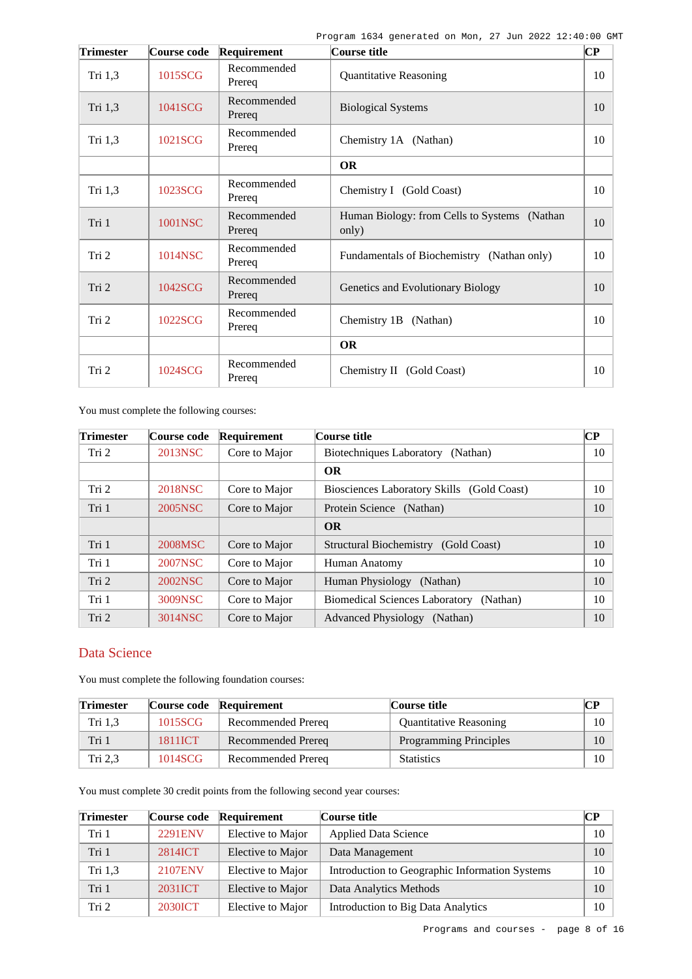| <b>Trimester</b> | Course code | Requirement           | Course title                                          | $\mathbf{C}\mathbf{P}$ |
|------------------|-------------|-----------------------|-------------------------------------------------------|------------------------|
| Tri 1,3          | 1015SCG     | Recommended<br>Prereq | <b>Quantitative Reasoning</b>                         | 10                     |
| Tri 1,3          | 1041SCG     | Recommended<br>Prereq | <b>Biological Systems</b>                             | 10                     |
| Tri 1,3          | 1021SCG     | Recommended<br>Prereq | Chemistry 1A (Nathan)                                 | 10                     |
|                  |             |                       | <b>OR</b>                                             |                        |
| Tri 1,3          | 1023SCG     | Recommended<br>Prereq | Chemistry I (Gold Coast)                              | 10                     |
| Tri 1            | 1001NSC     | Recommended<br>Prereq | Human Biology: from Cells to Systems (Nathan<br>only) | 10                     |
| Tri 2            | 1014NSC     | Recommended<br>Prereq | Fundamentals of Biochemistry (Nathan only)            | 10                     |
| Tri 2            | 1042SCG     | Recommended<br>Prereq | Genetics and Evolutionary Biology                     | 10                     |
| Tri 2            | 1022SCG     | Recommended<br>Prereq | Chemistry 1B<br>(Nathan)                              | 10                     |
|                  |             |                       | <b>OR</b>                                             |                        |
| Tri 2            | 1024SCG     | Recommended<br>Prereq | Chemistry II (Gold Coast)                             | 10                     |

You must complete the following courses:

| <b>Trimester</b> | Course code | Requirement   | Course title                                      | <b>CP</b> |
|------------------|-------------|---------------|---------------------------------------------------|-----------|
| Tri 2            | 2013NSC     | Core to Major | Biotechniques Laboratory<br>(Nathan)              | 10        |
|                  |             |               | <b>OR</b>                                         |           |
| Tri 2            | 2018NSC     | Core to Major | Biosciences Laboratory Skills (Gold Coast)        | 10        |
| Tri 1            | 2005NSC     | Core to Major | Protein Science (Nathan)                          | 10        |
|                  |             |               | <b>OR</b>                                         |           |
| Tri 1            | 2008MSC     | Core to Major | Structural Biochemistry (Gold Coast)              | 10        |
| Tri 1            | 2007NSC     | Core to Major | Human Anatomy                                     | 10        |
| Tri 2            | 2002NSC     | Core to Major | Human Physiology<br>(Nathan)                      | 10        |
| Tri 1            | 3009NSC     | Core to Major | <b>Biomedical Sciences Laboratory</b><br>(Nathan) | 10        |
| Tri 2            | 3014NSC     | Core to Major | <b>Advanced Physiology</b><br>(Nathan)            | 10        |

## Data Science

You must complete the following foundation courses:

| <b>Trimester</b> |         | Course code Requirement | Course title                  | CР |
|------------------|---------|-------------------------|-------------------------------|----|
| Tri 1.3          | 1015SCG | Recommended Prereq      | <b>Ouantitative Reasoning</b> | 10 |
| Tri 1            | 1811ICT | Recommended Prereq      | <b>Programming Principles</b> | 10 |
| Tri 2,3          | 1014SCG | Recommended Prereq      | <b>Statistics</b>             | 10 |

You must complete 30 credit points from the following second year courses:

| <b>Trimester</b> | Course code    | Requirement       | Course title                                   | $\bf CP$ |
|------------------|----------------|-------------------|------------------------------------------------|----------|
| Tri 1            | 2291ENV        | Elective to Major | <b>Applied Data Science</b>                    | $10-10$  |
| Tri 1            | 2814ICT        | Elective to Major | Data Management                                | 10       |
| Tri $1,3$        | 2107ENV        | Elective to Major | Introduction to Geographic Information Systems | 10       |
| Tri 1            | 2031ICT        | Elective to Major | Data Analytics Methods                         | 10       |
| Tri <sub>2</sub> | <b>2030ICT</b> | Elective to Major | Introduction to Big Data Analytics             | 10       |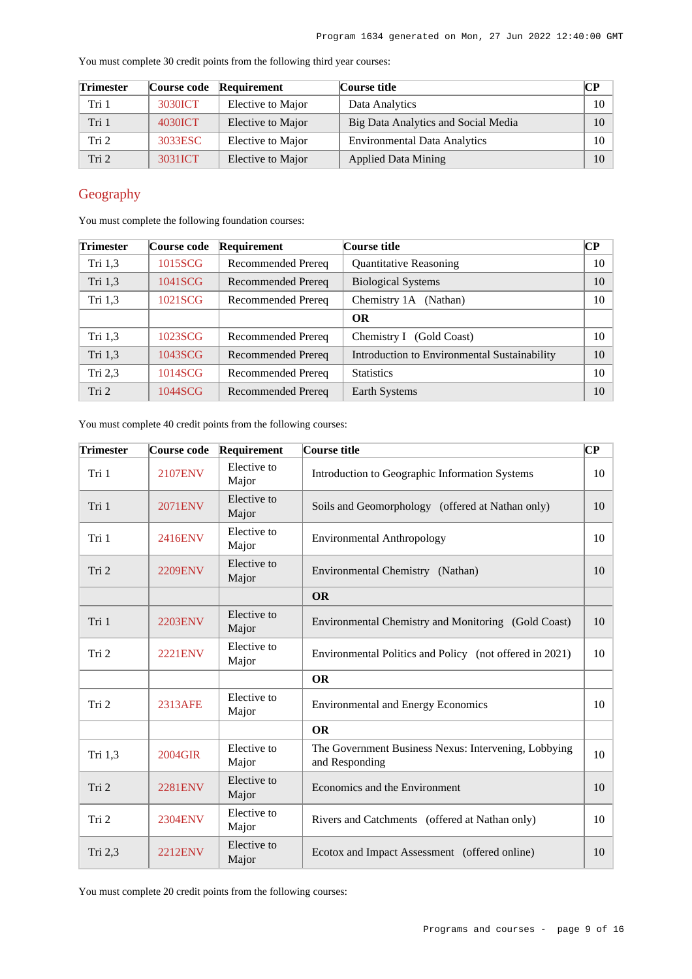| <b>Trimester</b> | Course code | Requirement       | Course title                        | $\bf CP$ |
|------------------|-------------|-------------------|-------------------------------------|----------|
| Tri 1            | 3030ICT     | Elective to Major | Data Analytics                      | 10       |
| Tri 1            | 4030ICT     | Elective to Major | Big Data Analytics and Social Media | 10       |
| Tri 2            | 3033ESC     | Elective to Major | <b>Environmental Data Analytics</b> | $10-10$  |
| Tri 2            | 3031ICT     | Elective to Major | <b>Applied Data Mining</b>          | 10       |

You must complete 30 credit points from the following third year courses:

# Geography

You must complete the following foundation courses:

| Trimester | Course code | <b>Requirement</b> | Course title                                 | CР |
|-----------|-------------|--------------------|----------------------------------------------|----|
| Tri 1,3   | 1015SCG     | Recommended Prereq | <b>Quantitative Reasoning</b>                | 10 |
| Tri 1,3   | 1041SCG     | Recommended Prereq | <b>Biological Systems</b>                    | 10 |
| Tri 1,3   | 1021SCG     | Recommended Prereq | Chemistry 1A<br>(Nathan)                     | 10 |
|           |             |                    | <b>OR</b>                                    |    |
| Tri $1,3$ | 1023SCG     | Recommended Prereq | Chemistry I<br>(Gold Coast)                  | 10 |
| Tri 1,3   | 1043SCG     | Recommended Prereq | Introduction to Environmental Sustainability | 10 |
| Tri $2,3$ | 1014SCG     | Recommended Prereq | <b>Statistics</b>                            | 10 |
| Tri 2     | 1044SCG     | Recommended Prereq | Earth Systems                                | 10 |

You must complete 40 credit points from the following courses:

| <b>Trimester</b> | Course code    | Requirement          | Course title                                                           | CР |
|------------------|----------------|----------------------|------------------------------------------------------------------------|----|
| Tri 1            | <b>2107ENV</b> | Elective to<br>Major | Introduction to Geographic Information Systems                         | 10 |
| Tri 1            | <b>2071ENV</b> | Elective to<br>Major | Soils and Geomorphology (offered at Nathan only)                       | 10 |
| Tri 1            | 2416ENV        | Elective to<br>Major | <b>Environmental Anthropology</b>                                      | 10 |
| Tri 2            | <b>2209ENV</b> | Elective to<br>Major | Environmental Chemistry (Nathan)                                       | 10 |
|                  |                |                      | <b>OR</b>                                                              |    |
| Tri 1            | <b>2203ENV</b> | Elective to<br>Major | Environmental Chemistry and Monitoring (Gold Coast)                    | 10 |
| Tri 2            | <b>2221ENV</b> | Elective to<br>Major | Environmental Politics and Policy (not offered in 2021)                | 10 |
|                  |                |                      | <b>OR</b>                                                              |    |
| Tri 2            | 2313AFE        | Elective to<br>Major | <b>Environmental and Energy Economics</b>                              | 10 |
|                  |                |                      | <b>OR</b>                                                              |    |
| Tri 1,3          | 2004GIR        | Elective to<br>Major | The Government Business Nexus: Intervening, Lobbying<br>and Responding | 10 |
| Tri 2            | <b>2281ENV</b> | Elective to<br>Major | Economics and the Environment                                          | 10 |
| Tri 2            | <b>2304ENV</b> | Elective to<br>Major | Rivers and Catchments (offered at Nathan only)                         | 10 |
| Tri 2,3          | <b>2212ENV</b> | Elective to<br>Major | Ecotox and Impact Assessment (offered online)                          | 10 |

You must complete 20 credit points from the following courses: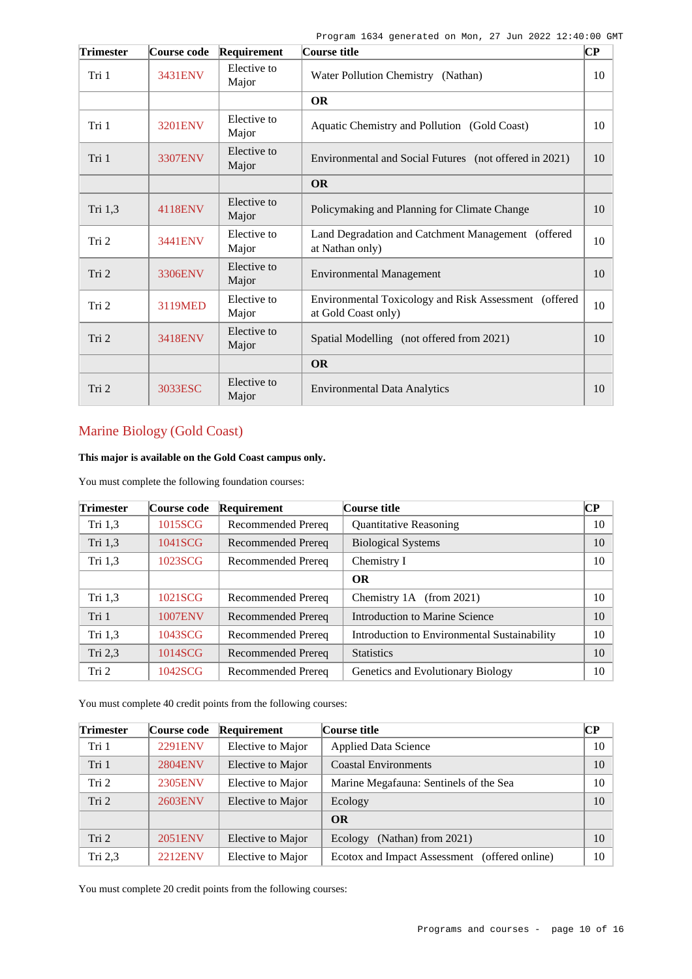| <b>Trimester</b> | Course code | Requirement          | Course title                                                                 | $\overline{\mathbf{C}\mathbf{P}}$ |
|------------------|-------------|----------------------|------------------------------------------------------------------------------|-----------------------------------|
| Tri 1            | 3431ENV     | Elective to<br>Major | Water Pollution Chemistry (Nathan)                                           | 10                                |
|                  |             |                      | <b>OR</b>                                                                    |                                   |
| Tri 1            | 3201ENV     | Elective to<br>Major | Aquatic Chemistry and Pollution (Gold Coast)                                 | 10                                |
| Tri 1            | 3307ENV     | Elective to<br>Major | Environmental and Social Futures (not offered in 2021)                       | 10                                |
|                  |             |                      | <b>OR</b>                                                                    |                                   |
| Tri 1,3          | 4118ENV     | Elective to<br>Major | Policymaking and Planning for Climate Change                                 | 10                                |
| Tri 2            | 3441ENV     | Elective to<br>Major | Land Degradation and Catchment Management (offered<br>at Nathan only)        | 10                                |
| Tri 2            | 3306ENV     | Elective to<br>Major | <b>Environmental Management</b>                                              | 10                                |
| Tri 2            | 3119MED     | Elective to<br>Major | Environmental Toxicology and Risk Assessment (offered<br>at Gold Coast only) | 10                                |
| Tri 2            | 3418ENV     | Elective to<br>Major | Spatial Modelling (not offered from 2021)                                    | 10                                |
|                  |             |                      | <b>OR</b>                                                                    |                                   |
| Tri 2            | 3033ESC     | Elective to<br>Major | <b>Environmental Data Analytics</b>                                          | 10                                |

# Marine Biology (Gold Coast)

**This major is available on the Gold Coast campus only.**

You must complete the following foundation courses:

| <b>Trimester</b> | Course code    | Requirement        | Course title                                 | CР |
|------------------|----------------|--------------------|----------------------------------------------|----|
| Tri $1,3$        | 1015SCG        | Recommended Prereq | <b>Quantitative Reasoning</b>                | 10 |
| Tri 1,3          | 1041SCG        | Recommended Prereq | <b>Biological Systems</b>                    | 10 |
| Tri $1,3$        | 1023SCG        | Recommended Prereq | Chemistry I                                  | 10 |
|                  |                |                    | <b>OR</b>                                    |    |
| Tri 1,3          | 1021SCG        | Recommended Prereq | Chemistry $1A$ (from 2021)                   | 10 |
| Tri 1            | <b>1007ENV</b> | Recommended Prereq | Introduction to Marine Science               | 10 |
| Tri $1,3$        | 1043SCG        | Recommended Prereq | Introduction to Environmental Sustainability | 10 |
| Tri $2,3$        | 1014SCG        | Recommended Prereq | <b>Statistics</b>                            | 10 |
| Tri 2            | 1042SCG        | Recommended Prereq | Genetics and Evolutionary Biology            | 10 |

You must complete 40 credit points from the following courses:

| <b>Trimester</b> | Course code    | Requirement       | Course title                                     | CР |
|------------------|----------------|-------------------|--------------------------------------------------|----|
| Tri 1            | <b>2291ENV</b> | Elective to Major | <b>Applied Data Science</b>                      | 10 |
| Tri 1            | <b>2804ENV</b> | Elective to Major | <b>Coastal Environments</b>                      | 10 |
| Tri 2            | 2305ENV        | Elective to Major | Marine Megafauna: Sentinels of the Sea           | 10 |
| Tri 2            | 2603ENV        | Elective to Major | Ecology                                          | 10 |
|                  |                |                   | <b>OR</b>                                        |    |
| Tri <sub>2</sub> | 2051ENV        | Elective to Major | (Nathan) from $2021$ )<br>Ecology                | 10 |
| Tri $2,3$        | 2212ENV        | Elective to Major | Ecotox and Impact Assessment<br>(offered online) | 10 |

You must complete 20 credit points from the following courses: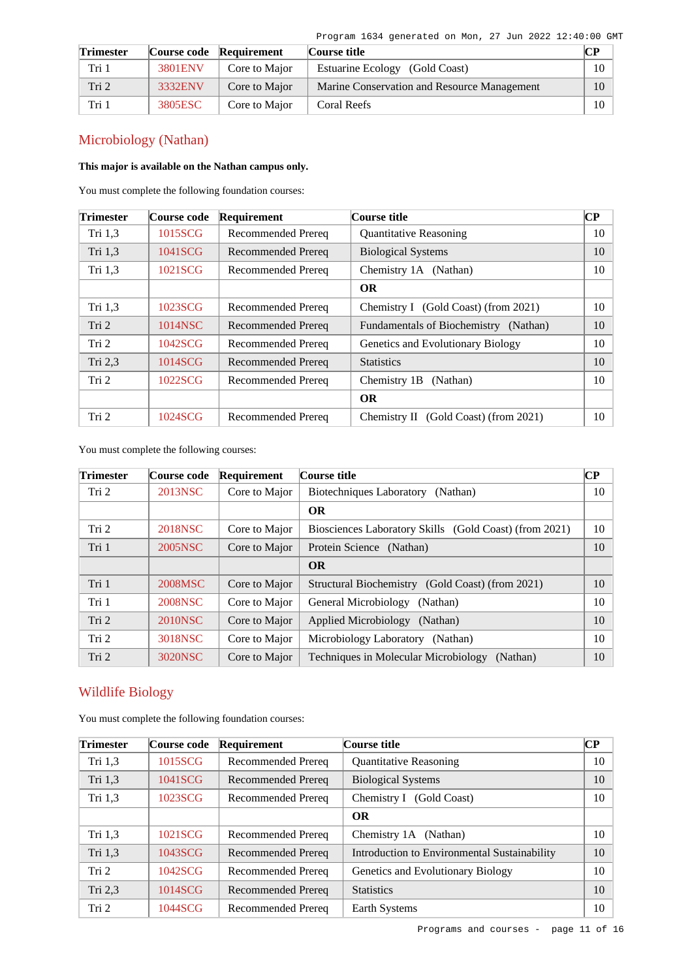| <b>Trimester</b> |         | Course code Requirement | Course title                                |    |
|------------------|---------|-------------------------|---------------------------------------------|----|
| Tri 1            | 3801ENV | Core to Major           | Estuarine Ecology (Gold Coast)              | 10 |
| Tri 2            | 3332ENV | Core to Major           | Marine Conservation and Resource Management | 10 |
| Tri 1            | 3805ESC | Core to Major           | Coral Reefs                                 | 10 |

# Microbiology (Nathan)

### **This major is available on the Nathan campus only.**

You must complete the following foundation courses:

| <b>Trimester</b> | Course code | Requirement               | Course title                             | $\overline{\mathbf{CP}}$ |
|------------------|-------------|---------------------------|------------------------------------------|--------------------------|
| Tri $1,3$        | 1015SCG     | Recommended Prereq        | <b>Quantitative Reasoning</b>            | 10                       |
| Tri 1,3          | 1041SCG     | Recommended Prereq        | <b>Biological Systems</b>                | 10                       |
| Tri $1,3$        | 1021SCG     | Recommended Prereq        | Chemistry 1A (Nathan)                    | 10                       |
|                  |             |                           | <b>OR</b>                                |                          |
| Tri 1,3          | 1023SCG     | Recommended Prereq        | Chemistry I (Gold Coast) (from 2021)     | 10                       |
| Tri 2            | 1014NSC     | Recommended Prereq        | Fundamentals of Biochemistry (Nathan)    | 10                       |
| Tri 2            | 1042SCG     | <b>Recommended Prereq</b> | Genetics and Evolutionary Biology        | 10                       |
| Tri 2,3          | 1014SCG     | Recommended Prereq        | <b>Statistics</b>                        | 10                       |
| Tri 2            | 1022SCG     | Recommended Prereq        | Chemistry 1B<br>(Nathan)                 | 10                       |
|                  |             |                           | <b>OR</b>                                |                          |
| Tri 2            | 1024SCG     | Recommended Prereq        | (Gold Coast) (from 2021)<br>Chemistry II | 10                       |

You must complete the following courses:

| <b>Trimester</b> | Course code | Requirement   | Course title                                            | <b>CP</b> |
|------------------|-------------|---------------|---------------------------------------------------------|-----------|
| Tri 2            | 2013NSC     | Core to Major | <b>Biotechniques Laboratory</b><br>(Nathan)             | 10        |
|                  |             |               | <b>OR</b>                                               |           |
| Tri 2            | 2018NSC     | Core to Major | Biosciences Laboratory Skills (Gold Coast) (from 2021)  | 10        |
| Tri 1            | 2005NSC     | Core to Major | Protein Science (Nathan)                                | 10        |
|                  |             |               | <b>OR</b>                                               |           |
| Tri 1            | 2008MSC     | Core to Major | Structural Biochemistry (Gold Coast) (from 2021)        | 10        |
| Tri 1            | 2008NSC     | Core to Major | General Microbiology<br>(Nathan)                        | 10        |
| Tri 2            | 2010NSC     | Core to Major | Applied Microbiology<br>(Nathan)                        | 10        |
| Tri 2            | 3018NSC     | Core to Major | Microbiology Laboratory (Nathan)                        | 10        |
| Tri 2            | 3020NSC     | Core to Major | <b>Techniques in Molecular Microbiology</b><br>(Nathan) | 10        |

## Wildlife Biology

You must complete the following foundation courses:

| <b>Trimester</b> | Course code | Requirement        | Course title                                 | $\bf CP$ |
|------------------|-------------|--------------------|----------------------------------------------|----------|
| Tri $1,3$        | 1015SCG     | Recommended Prereq | <b>Quantitative Reasoning</b>                | 10       |
| Tri 1,3          | 1041SCG     | Recommended Prereq | <b>Biological Systems</b>                    | 10       |
| Tri $1,3$        | 1023SCG     | Recommended Prereq | Chemistry I (Gold Coast)                     | 10       |
|                  |             |                    | <b>OR</b>                                    |          |
| Tri $1,3$        | 1021SCG     | Recommended Prereq | Chemistry 1A (Nathan)                        | 10       |
| Tri 1,3          | 1043SCG     | Recommended Prereq | Introduction to Environmental Sustainability | 10       |
| Tri 2            | 1042SCG     | Recommended Prereq | Genetics and Evolutionary Biology            | 10       |
| Tri 2,3          | 1014SCG     | Recommended Prereq | <b>Statistics</b>                            | 10       |
| Tri 2            | 1044SCG     | Recommended Prereq | Earth Systems                                | 10       |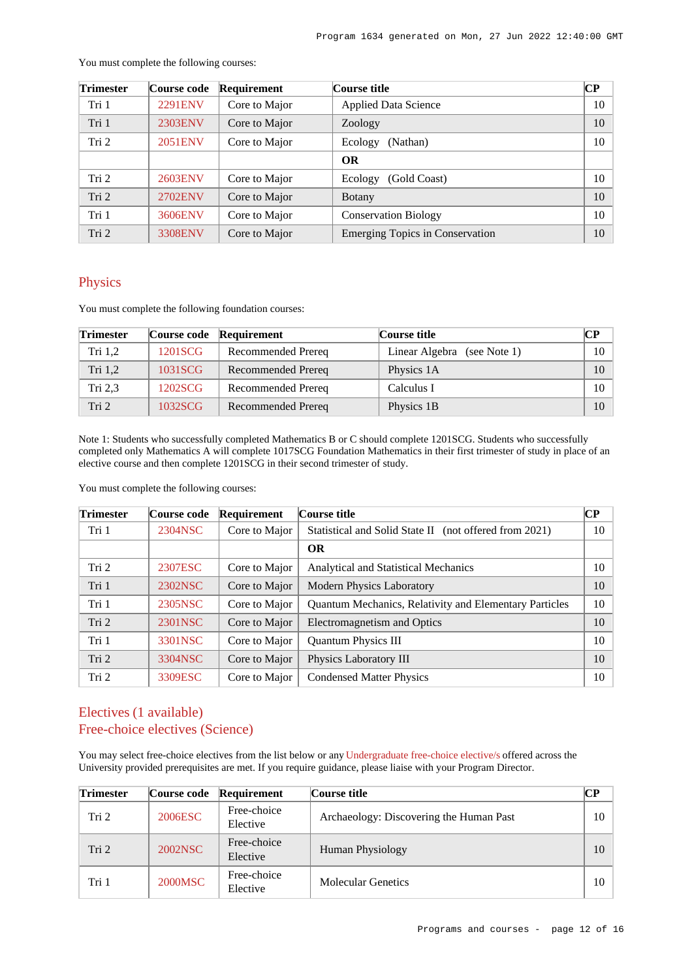| <b>Trimester</b> | Course code    | Requirement   | Course title                           | $\mathbf{C}\mathbf{P}$ |
|------------------|----------------|---------------|----------------------------------------|------------------------|
| Tri 1            | <b>2291ENV</b> | Core to Major | <b>Applied Data Science</b>            | 10                     |
| Tri 1            | 2303ENV        | Core to Major | Zoology                                | 10                     |
| Tri 2            | <b>2051ENV</b> | Core to Major | (Nathan)<br>Ecology                    | 10                     |
|                  |                |               | <b>OR</b>                              |                        |
| Tri 2            | 2603ENV        | Core to Major | (Gold Coast)<br>Ecology                | 10                     |
| Tri 2            | 2702ENV        | Core to Major | <b>Botany</b>                          | 10                     |
| Tri 1            | 3606ENV        | Core to Major | <b>Conservation Biology</b>            | 10                     |
| Tri 2            | <b>3308ENV</b> | Core to Major | <b>Emerging Topics in Conservation</b> | 10                     |

You must complete the following courses:

## Physics

You must complete the following foundation courses:

| <b>Trimester</b> | Course code | Requirement        | <b>Course title</b>         | $\bf CP$ |
|------------------|-------------|--------------------|-----------------------------|----------|
| Tri $1,2$        | 1201SCG     | Recommended Prereq | Linear Algebra (see Note 1) | 10       |
| Tri 1,2          | 1031SCG     | Recommended Prereq | Physics 1A                  | 10       |
| Tri 2,3          | 1202SCG     | Recommended Prereq | Calculus I                  | 10       |
| Tri <sub>2</sub> | 1032SCG     | Recommended Prereq | Physics 1B                  | 10       |

Note 1: Students who successfully completed Mathematics B or C should complete 1201SCG. Students who successfully completed only Mathematics A will complete 1017SCG Foundation Mathematics in their first trimester of study in place of an elective course and then complete 1201SCG in their second trimester of study.

You must complete the following courses:

| <b>Trimester</b> | Course code | Requirement   | Course title                                           | $\overline{\mathbf{CP}}$ |
|------------------|-------------|---------------|--------------------------------------------------------|--------------------------|
| Tri 1            | 2304NSC     | Core to Major | Statistical and Solid State II (not offered from 2021) | 10                       |
|                  |             |               | <b>OR</b>                                              |                          |
| Tri 2            | 2307ESC     | Core to Major | <b>Analytical and Statistical Mechanics</b>            | 10                       |
| Tri 1            | 2302NSC     | Core to Major | <b>Modern Physics Laboratory</b>                       | 10                       |
| Tri 1            | 2305NSC     | Core to Major | Quantum Mechanics, Relativity and Elementary Particles | 10                       |
| Tri 2            | 2301NSC     | Core to Major | Electromagnetism and Optics                            | 10                       |
| Tri 1            | 3301NSC     | Core to Major | <b>Quantum Physics III</b>                             | 10                       |
| Tri 2            | 3304NSC     | Core to Major | Physics Laboratory III                                 | 10                       |
| Tri 2            | 3309ESC     | Core to Major | <b>Condensed Matter Physics</b>                        | 10                       |

## Electives (1 available) Free-choice electives (Science)

You may select free-choice electives from the list below or any [Undergraduate free-choice elective/s](https://www148.griffith.edu.au/programs-courses/Search/Results?SearchRequestType=CourseCatalogue&AcademicCareerName=UGRD&IsFreeChoiceElective=True) offered across the University provided prerequisites are met. If you require guidance, please liaise with your Program Director.

| <b>Trimester</b> |         | Course code Requirement | Course title                            | CР |
|------------------|---------|-------------------------|-----------------------------------------|----|
| Tri <sub>2</sub> | 2006ESC | Free-choice<br>Elective | Archaeology: Discovering the Human Past | 10 |
| Tri 2            | 2002NSC | Free-choice<br>Elective | Human Physiology                        | 10 |
| Tri 1            | 2000MSC | Free-choice<br>Elective | <b>Molecular Genetics</b>               | 10 |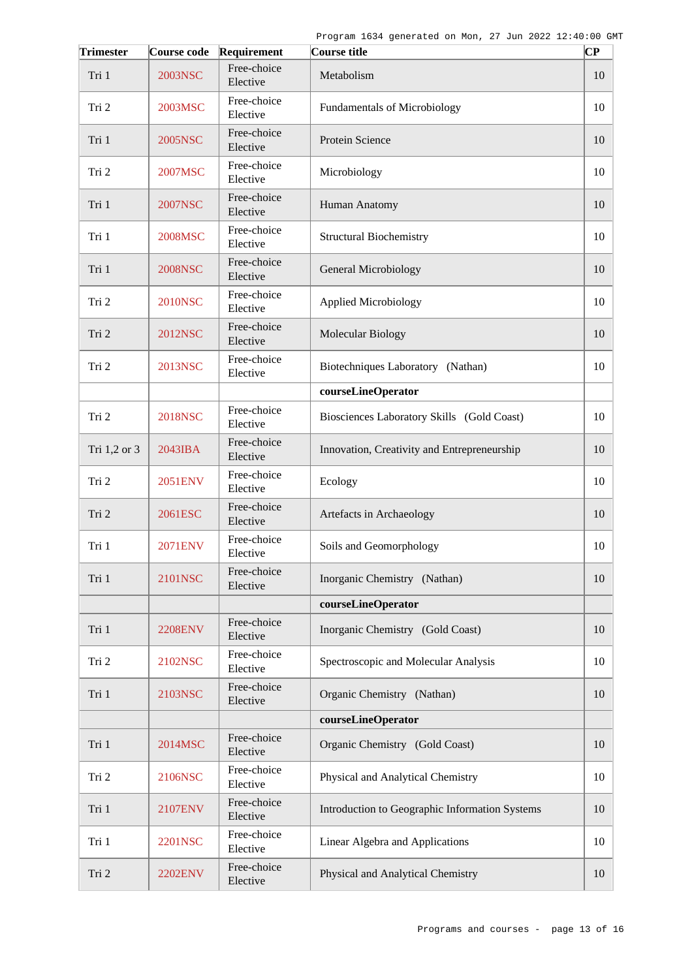| <b>Trimester</b> | <b>Course code</b> | Requirement             | Course title                                   | CР |
|------------------|--------------------|-------------------------|------------------------------------------------|----|
| Tri 1            | 2003NSC            | Free-choice<br>Elective | Metabolism                                     | 10 |
| Tri 2            | 2003MSC            | Free-choice<br>Elective | <b>Fundamentals of Microbiology</b>            | 10 |
| Tri 1            | 2005NSC            | Free-choice<br>Elective | Protein Science                                | 10 |
| Tri 2            | 2007MSC            | Free-choice<br>Elective | Microbiology                                   | 10 |
| Tri 1            | 2007NSC            | Free-choice<br>Elective | Human Anatomy                                  | 10 |
| Tri 1            | 2008MSC            | Free-choice<br>Elective | <b>Structural Biochemistry</b>                 | 10 |
| Tri 1            | <b>2008NSC</b>     | Free-choice<br>Elective | General Microbiology                           | 10 |
| Tri 2            | 2010NSC            | Free-choice<br>Elective | <b>Applied Microbiology</b>                    | 10 |
| Tri 2            | 2012NSC            | Free-choice<br>Elective | Molecular Biology                              | 10 |
| Tri 2            | 2013NSC            | Free-choice<br>Elective | Biotechniques Laboratory (Nathan)              | 10 |
|                  |                    |                         | courseLineOperator                             |    |
| Tri 2            | 2018NSC            | Free-choice<br>Elective | Biosciences Laboratory Skills (Gold Coast)     | 10 |
| Tri 1,2 or 3     | 2043IBA            | Free-choice<br>Elective | Innovation, Creativity and Entrepreneurship    | 10 |
| Tri 2            | 2051ENV            | Free-choice<br>Elective | Ecology                                        | 10 |
| Tri 2            | 2061ESC            | Free-choice<br>Elective | Artefacts in Archaeology                       | 10 |
| Tri 1            | <b>2071ENV</b>     | Free-choice<br>Elective | Soils and Geomorphology                        | 10 |
| Tri 1            | 2101NSC            | Free-choice<br>Elective | Inorganic Chemistry (Nathan)                   | 10 |
|                  |                    |                         | courseLineOperator                             |    |
| Tri 1            | <b>2208ENV</b>     | Free-choice<br>Elective | Inorganic Chemistry (Gold Coast)               | 10 |
| Tri 2            | 2102NSC            | Free-choice<br>Elective | Spectroscopic and Molecular Analysis           | 10 |
| Tri 1            | 2103NSC            | Free-choice<br>Elective | Organic Chemistry (Nathan)                     | 10 |
|                  |                    |                         | courseLineOperator                             |    |
| Tri 1            | 2014MSC            | Free-choice<br>Elective | Organic Chemistry (Gold Coast)                 | 10 |
| Tri 2            | 2106NSC            | Free-choice<br>Elective | Physical and Analytical Chemistry              | 10 |
| Tri 1            | 2107ENV            | Free-choice<br>Elective | Introduction to Geographic Information Systems | 10 |
| Tri 1            | 2201NSC            | Free-choice<br>Elective | Linear Algebra and Applications                | 10 |
| Tri 2            | <b>2202ENV</b>     | Free-choice<br>Elective | Physical and Analytical Chemistry              | 10 |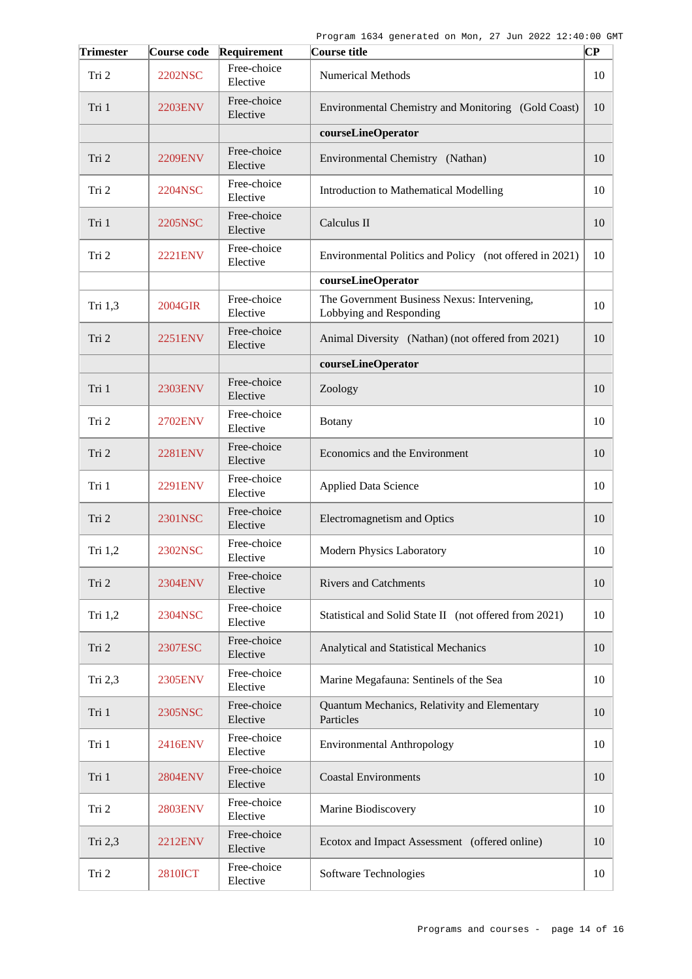| <b>Trimester</b> | Course code    | Requirement             | Course title                                                           | CP |
|------------------|----------------|-------------------------|------------------------------------------------------------------------|----|
| Tri 2            | <b>2202NSC</b> | Free-choice<br>Elective | <b>Numerical Methods</b>                                               | 10 |
| Tri 1            | 2203ENV        | Free-choice<br>Elective | Environmental Chemistry and Monitoring (Gold Coast)                    | 10 |
|                  |                |                         | courseLineOperator                                                     |    |
| Tri 2            | <b>2209ENV</b> | Free-choice<br>Elective | Environmental Chemistry (Nathan)                                       | 10 |
| Tri 2            | 2204NSC        | Free-choice<br>Elective | Introduction to Mathematical Modelling                                 | 10 |
| Tri 1            | 2205NSC        | Free-choice<br>Elective | Calculus II                                                            | 10 |
| Tri 2            | <b>2221ENV</b> | Free-choice<br>Elective | Environmental Politics and Policy (not offered in 2021)                | 10 |
|                  |                |                         | courseLineOperator                                                     |    |
| Tri 1,3          | 2004GIR        | Free-choice<br>Elective | The Government Business Nexus: Intervening,<br>Lobbying and Responding | 10 |
| Tri 2            | 2251ENV        | Free-choice<br>Elective | Animal Diversity (Nathan) (not offered from 2021)                      | 10 |
|                  |                |                         | courseLineOperator                                                     |    |
| Tri 1            | 2303ENV        | Free-choice<br>Elective | Zoology                                                                | 10 |
| Tri 2            | 2702ENV        | Free-choice<br>Elective | Botany                                                                 | 10 |
| Tri 2            | <b>2281ENV</b> | Free-choice<br>Elective | Economics and the Environment                                          | 10 |
| Tri 1            | 2291ENV        | Free-choice<br>Elective | <b>Applied Data Science</b>                                            | 10 |
| Tri 2            | 2301NSC        | Free-choice<br>Elective | Electromagnetism and Optics                                            | 10 |
| Tri 1,2          | 2302NSC        | Free-choice<br>Elective | <b>Modern Physics Laboratory</b>                                       | 10 |
| Tri 2            | <b>2304ENV</b> | Free-choice<br>Elective | <b>Rivers and Catchments</b>                                           | 10 |
| Tri $1,2$        | 2304NSC        | Free-choice<br>Elective | Statistical and Solid State II (not offered from 2021)                 | 10 |
| Tri 2            | 2307ESC        | Free-choice<br>Elective | Analytical and Statistical Mechanics                                   | 10 |
| Tri 2,3          | 2305ENV        | Free-choice<br>Elective | Marine Megafauna: Sentinels of the Sea                                 | 10 |
| Tri 1            | 2305NSC        | Free-choice<br>Elective | Quantum Mechanics, Relativity and Elementary<br>Particles              | 10 |
| Tri 1            | 2416ENV        | Free-choice<br>Elective | <b>Environmental Anthropology</b>                                      | 10 |
| Tri 1            | <b>2804ENV</b> | Free-choice<br>Elective | <b>Coastal Environments</b>                                            | 10 |
| Tri 2            | <b>2803ENV</b> | Free-choice<br>Elective | Marine Biodiscovery                                                    | 10 |
| Tri 2,3          | 2212ENV        | Free-choice<br>Elective | Ecotox and Impact Assessment (offered online)                          | 10 |
| Tri 2            | <b>2810ICT</b> | Free-choice<br>Elective | Software Technologies                                                  | 10 |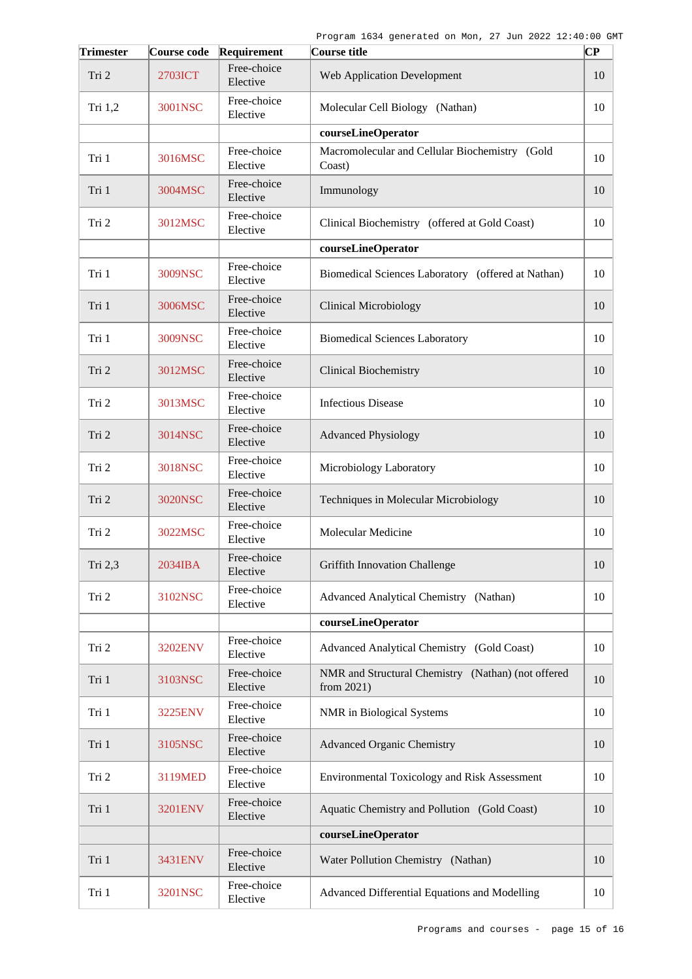| <b>Trimester</b> | Course code    | Requirement             | Course title                                                        | $ {\bf CP}$ |
|------------------|----------------|-------------------------|---------------------------------------------------------------------|-------------|
| Tri 2            | 2703ICT        | Free-choice<br>Elective | <b>Web Application Development</b>                                  | 10          |
| Tri $1,2$        | 3001NSC        | Free-choice<br>Elective | Molecular Cell Biology (Nathan)                                     | 10          |
|                  |                |                         | courseLineOperator                                                  |             |
| Tri 1            | 3016MSC        | Free-choice<br>Elective | Macromolecular and Cellular Biochemistry (Gold<br>Coast)            | 10          |
| Tri 1            | 3004MSC        | Free-choice<br>Elective | Immunology                                                          | 10          |
| Tri 2            | 3012MSC        | Free-choice<br>Elective | Clinical Biochemistry (offered at Gold Coast)                       | 10          |
|                  |                |                         | courseLineOperator                                                  |             |
| Tri 1            | 3009NSC        | Free-choice<br>Elective | Biomedical Sciences Laboratory (offered at Nathan)                  | 10          |
| Tri 1            | 3006MSC        | Free-choice<br>Elective | <b>Clinical Microbiology</b>                                        | 10          |
| Tri 1            | 3009NSC        | Free-choice<br>Elective | <b>Biomedical Sciences Laboratory</b>                               | 10          |
| Tri 2            | 3012MSC        | Free-choice<br>Elective | <b>Clinical Biochemistry</b>                                        | 10          |
| Tri 2            | 3013MSC        | Free-choice<br>Elective | <b>Infectious Disease</b>                                           | 10          |
| Tri 2            | 3014NSC        | Free-choice<br>Elective | <b>Advanced Physiology</b>                                          | 10          |
| Tri 2            | 3018NSC        | Free-choice<br>Elective | Microbiology Laboratory                                             | 10          |
| Tri 2            | 3020NSC        | Free-choice<br>Elective | Techniques in Molecular Microbiology                                | 10          |
| Tri 2            | 3022MSC        | Free-choice<br>Elective | Molecular Medicine                                                  | 10          |
| Tri 2,3          | 2034IBA        | Free-choice<br>Elective | <b>Griffith Innovation Challenge</b>                                | 10          |
| Tri 2            | 3102NSC        | Free-choice<br>Elective | Advanced Analytical Chemistry (Nathan)                              | 10          |
|                  |                |                         | courseLineOperator                                                  |             |
| Tri 2            | <b>3202ENV</b> | Free-choice<br>Elective | Advanced Analytical Chemistry (Gold Coast)                          | 10          |
| Tri 1            | 3103NSC        | Free-choice<br>Elective | NMR and Structural Chemistry (Nathan) (not offered<br>from $2021$ ) | 10          |
| Tri 1            | 3225ENV        | Free-choice<br>Elective | NMR in Biological Systems                                           | 10          |
| Tri 1            | 3105NSC        | Free-choice<br>Elective | <b>Advanced Organic Chemistry</b>                                   | 10          |
| Tri 2            | 3119MED        | Free-choice<br>Elective | <b>Environmental Toxicology and Risk Assessment</b>                 | 10          |
| Tri 1            | 3201ENV        | Free-choice<br>Elective | Aquatic Chemistry and Pollution (Gold Coast)                        | 10          |
|                  |                |                         | courseLineOperator                                                  |             |
| Tri 1            | 3431ENV        | Free-choice<br>Elective | Water Pollution Chemistry (Nathan)                                  | 10          |
| Tri 1            | 3201NSC        | Free-choice<br>Elective | Advanced Differential Equations and Modelling                       | 10          |